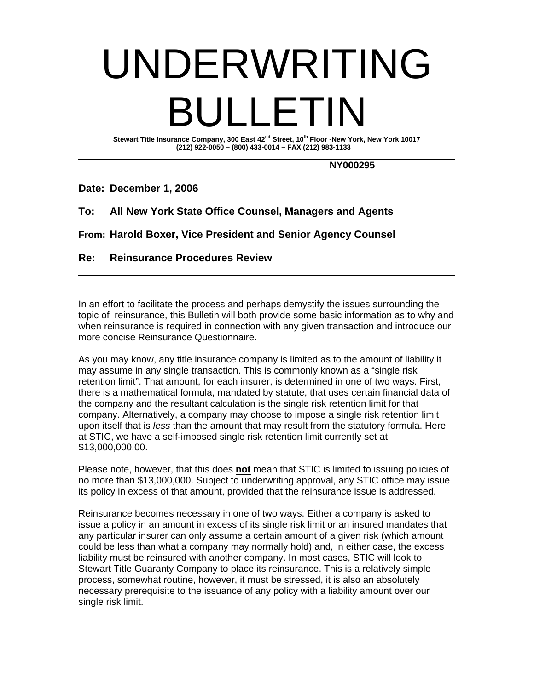## UNDERWRITING BULLETIN

Stewart Title Insurance Company, 300 East 42<sup>nd</sup> Street, 10<sup>th</sup> Floor -New York, New York 10017  **(212) 922-0050 – (800) 433-0014 – FAX (212) 983-1133** 

 **NY000295** 

**Date: December 1, 2006** 

**To: All New York State Office Counsel, Managers and Agents** 

**From: Harold Boxer, Vice President and Senior Agency Counsel** 

## **Re: Reinsurance Procedures Review**

In an effort to facilitate the process and perhaps demystify the issues surrounding the topic of reinsurance, this Bulletin will both provide some basic information as to why and when reinsurance is required in connection with any given transaction and introduce our more concise Reinsurance Questionnaire.

As you may know, any title insurance company is limited as to the amount of liability it may assume in any single transaction. This is commonly known as a "single risk retention limit". That amount, for each insurer, is determined in one of two ways. First, there is a mathematical formula, mandated by statute, that uses certain financial data of the company and the resultant calculation is the single risk retention limit for that company. Alternatively, a company may choose to impose a single risk retention limit upon itself that is *less* than the amount that may result from the statutory formula. Here at STIC, we have a self-imposed single risk retention limit currently set at \$13,000,000.00.

Please note, however, that this does **not** mean that STIC is limited to issuing policies of no more than \$13,000,000. Subject to underwriting approval, any STIC office may issue its policy in excess of that amount, provided that the reinsurance issue is addressed.

Reinsurance becomes necessary in one of two ways. Either a company is asked to issue a policy in an amount in excess of its single risk limit or an insured mandates that any particular insurer can only assume a certain amount of a given risk (which amount could be less than what a company may normally hold) and, in either case, the excess liability must be reinsured with another company. In most cases, STIC will look to Stewart Title Guaranty Company to place its reinsurance. This is a relatively simple process, somewhat routine, however, it must be stressed, it is also an absolutely necessary prerequisite to the issuance of any policy with a liability amount over our single risk limit.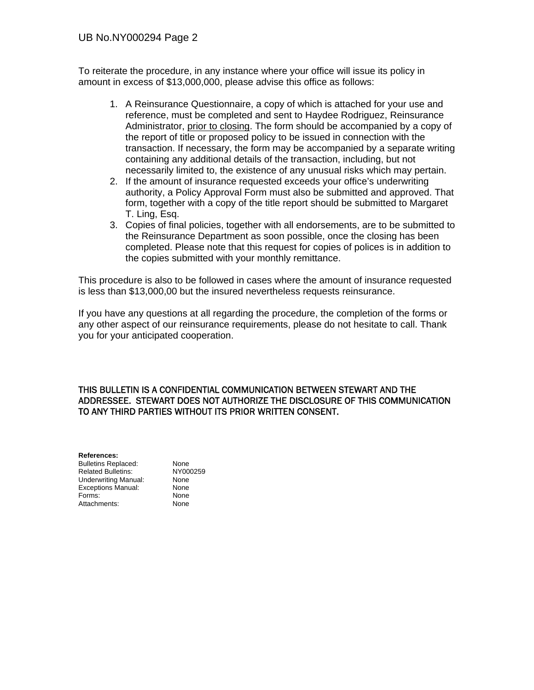To reiterate the procedure, in any instance where your office will issue its policy in amount in excess of \$13,000,000, please advise this office as follows:

- 1. A Reinsurance Questionnaire, a copy of which is attached for your use and reference, must be completed and sent to Haydee Rodriguez, Reinsurance Administrator, prior to closing. The form should be accompanied by a copy of the report of title or proposed policy to be issued in connection with the transaction. If necessary, the form may be accompanied by a separate writing containing any additional details of the transaction, including, but not necessarily limited to, the existence of any unusual risks which may pertain.
- 2. If the amount of insurance requested exceeds your office's underwriting authority, a Policy Approval Form must also be submitted and approved. That form, together with a copy of the title report should be submitted to Margaret T. Ling, Esq.
- 3. Copies of final policies, together with all endorsements, are to be submitted to the Reinsurance Department as soon possible, once the closing has been completed. Please note that this request for copies of polices is in addition to the copies submitted with your monthly remittance.

This procedure is also to be followed in cases where the amount of insurance requested is less than \$13,000,00 but the insured nevertheless requests reinsurance.

If you have any questions at all regarding the procedure, the completion of the forms or any other aspect of our reinsurance requirements, please do not hesitate to call. Thank you for your anticipated cooperation.

## THIS BULLETIN IS A CONFIDENTIAL COMMUNICATION BETWEEN STEWART AND THE ADDRESSEE. STEWART DOES NOT AUTHORIZE THE DISCLOSURE OF THIS COMMUNICATION TO ANY THIRD PARTIES WITHOUT ITS PRIOR WRITTEN CONSENT.

**References:**  Bulletins Replaced: None<br>
Related Bulletins: NY000259 Related Bulletins: Underwriting Manual: None<br>
Exceptions Manual: None Exceptions Manual: Forms: None Attachments: None